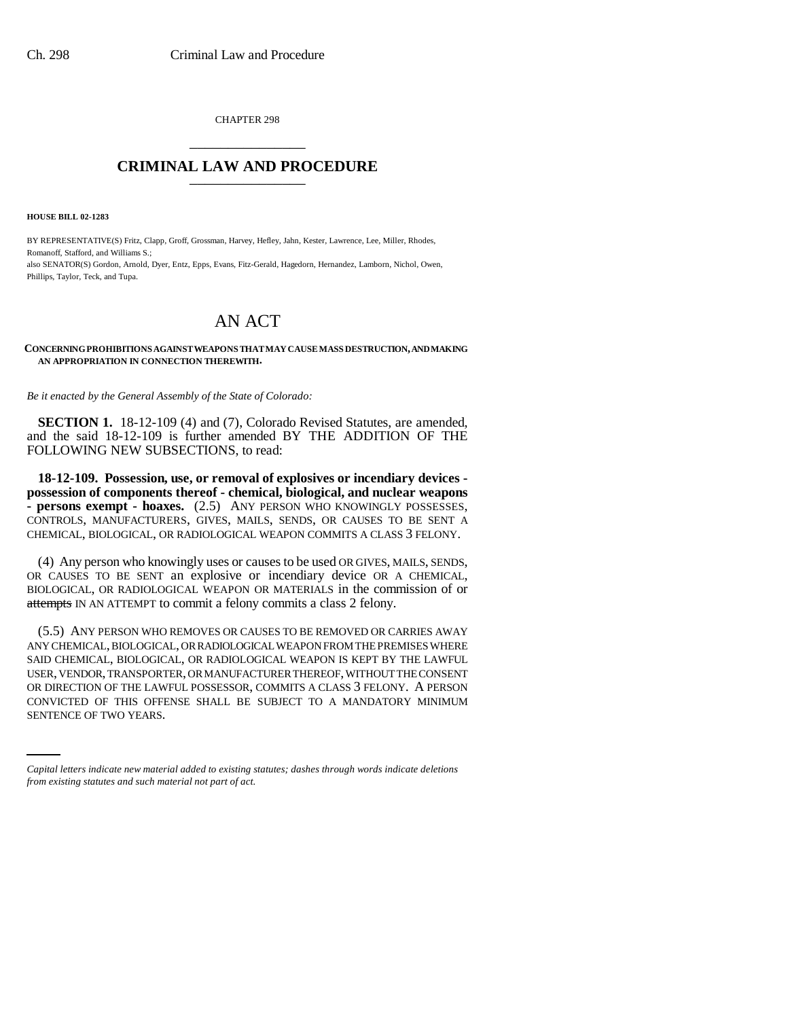CHAPTER 298 \_\_\_\_\_\_\_\_\_\_\_\_\_\_\_

## **CRIMINAL LAW AND PROCEDURE** \_\_\_\_\_\_\_\_\_\_\_\_\_\_\_

**HOUSE BILL 02-1283**

BY REPRESENTATIVE(S) Fritz, Clapp, Groff, Grossman, Harvey, Hefley, Jahn, Kester, Lawrence, Lee, Miller, Rhodes, Romanoff, Stafford, and Williams S.; also SENATOR(S) Gordon, Arnold, Dyer, Entz, Epps, Evans, Fitz-Gerald, Hagedorn, Hernandez, Lamborn, Nichol, Owen, Phillips, Taylor, Teck, and Tupa.

## AN ACT

## **CONCERNING PROHIBITIONS AGAINST WEAPONS THAT MAY CAUSE MASS DESTRUCTION, AND MAKING AN APPROPRIATION IN CONNECTION THEREWITH.**

*Be it enacted by the General Assembly of the State of Colorado:*

**SECTION 1.** 18-12-109 (4) and (7), Colorado Revised Statutes, are amended, and the said 18-12-109 is further amended BY THE ADDITION OF THE FOLLOWING NEW SUBSECTIONS, to read:

**18-12-109. Possession, use, or removal of explosives or incendiary devices possession of components thereof - chemical, biological, and nuclear weapons - persons exempt - hoaxes.** (2.5) ANY PERSON WHO KNOWINGLY POSSESSES, CONTROLS, MANUFACTURERS, GIVES, MAILS, SENDS, OR CAUSES TO BE SENT A CHEMICAL, BIOLOGICAL, OR RADIOLOGICAL WEAPON COMMITS A CLASS 3 FELONY.

(4) Any person who knowingly uses or causes to be used OR GIVES, MAILS, SENDS, OR CAUSES TO BE SENT an explosive or incendiary device OR A CHEMICAL, BIOLOGICAL, OR RADIOLOGICAL WEAPON OR MATERIALS in the commission of or attempts IN AN ATTEMPT to commit a felony commits a class 2 felony.

OR DIRECTION OF THE LAWFUL POSSESSOR, COMMITS A CLASS 3 FELONY. A PERSON (5.5) ANY PERSON WHO REMOVES OR CAUSES TO BE REMOVED OR CARRIES AWAY ANY CHEMICAL, BIOLOGICAL, OR RADIOLOGICAL WEAPON FROM THE PREMISES WHERE SAID CHEMICAL, BIOLOGICAL, OR RADIOLOGICAL WEAPON IS KEPT BY THE LAWFUL USER, VENDOR, TRANSPORTER, OR MANUFACTURER THEREOF, WITHOUT THE CONSENT CONVICTED OF THIS OFFENSE SHALL BE SUBJECT TO A MANDATORY MINIMUM SENTENCE OF TWO YEARS.

*Capital letters indicate new material added to existing statutes; dashes through words indicate deletions from existing statutes and such material not part of act.*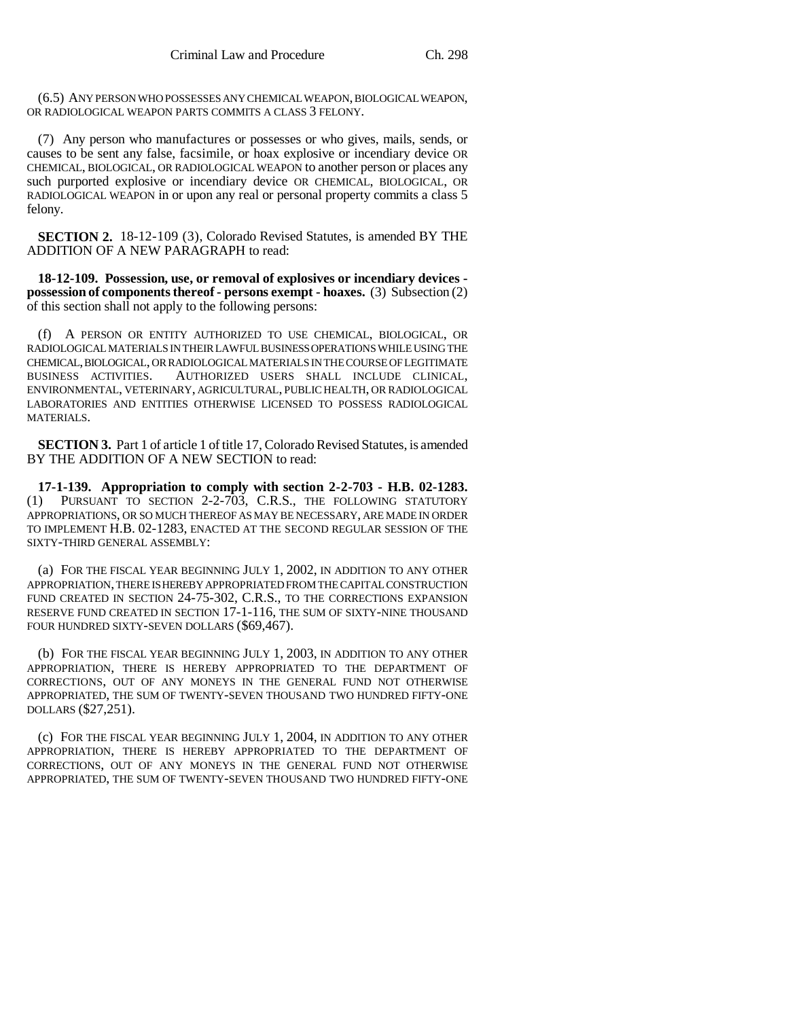(6.5) ANY PERSON WHO POSSESSES ANY CHEMICAL WEAPON, BIOLOGICAL WEAPON, OR RADIOLOGICAL WEAPON PARTS COMMITS A CLASS 3 FELONY.

(7) Any person who manufactures or possesses or who gives, mails, sends, or causes to be sent any false, facsimile, or hoax explosive or incendiary device OR CHEMICAL, BIOLOGICAL, OR RADIOLOGICAL WEAPON to another person or places any such purported explosive or incendiary device OR CHEMICAL, BIOLOGICAL, OR RADIOLOGICAL WEAPON in or upon any real or personal property commits a class 5 felony.

**SECTION 2.** 18-12-109 (3), Colorado Revised Statutes, is amended BY THE ADDITION OF A NEW PARAGRAPH to read:

**18-12-109. Possession, use, or removal of explosives or incendiary devices possession of components thereof - persons exempt - hoaxes.** (3) Subsection (2) of this section shall not apply to the following persons:

(f) A PERSON OR ENTITY AUTHORIZED TO USE CHEMICAL, BIOLOGICAL, OR RADIOLOGICAL MATERIALS IN THEIR LAWFUL BUSINESS OPERATIONS WHILE USING THE CHEMICAL, BIOLOGICAL, OR RADIOLOGICAL MATERIALS IN THE COURSE OF LEGITIMATE<br>BUSINESS ACTIVITIES. AUTHORIZED USERS SHALL INCLUDE CLINICAL, AUTHORIZED USERS SHALL INCLUDE CLINICAL, ENVIRONMENTAL, VETERINARY, AGRICULTURAL, PUBLIC HEALTH, OR RADIOLOGICAL LABORATORIES AND ENTITIES OTHERWISE LICENSED TO POSSESS RADIOLOGICAL MATERIALS.

**SECTION 3.** Part 1 of article 1 of title 17, Colorado Revised Statutes, is amended BY THE ADDITION OF A NEW SECTION to read:

**17-1-139. Appropriation to comply with section 2-2-703 - H.B. 02-1283.** (1) PURSUANT TO SECTION 2-2-703, C.R.S., THE FOLLOWING STATUTORY APPROPRIATIONS, OR SO MUCH THEREOF AS MAY BE NECESSARY, ARE MADE IN ORDER TO IMPLEMENT H.B. 02-1283, ENACTED AT THE SECOND REGULAR SESSION OF THE SIXTY-THIRD GENERAL ASSEMBLY:

(a) FOR THE FISCAL YEAR BEGINNING JULY 1, 2002, IN ADDITION TO ANY OTHER APPROPRIATION, THERE IS HEREBY APPROPRIATED FROM THE CAPITAL CONSTRUCTION FUND CREATED IN SECTION 24-75-302, C.R.S., TO THE CORRECTIONS EXPANSION RESERVE FUND CREATED IN SECTION 17-1-116, THE SUM OF SIXTY-NINE THOUSAND FOUR HUNDRED SIXTY-SEVEN DOLLARS (\$69,467).

(b) FOR THE FISCAL YEAR BEGINNING JULY 1, 2003, IN ADDITION TO ANY OTHER APPROPRIATION, THERE IS HEREBY APPROPRIATED TO THE DEPARTMENT OF CORRECTIONS, OUT OF ANY MONEYS IN THE GENERAL FUND NOT OTHERWISE APPROPRIATED, THE SUM OF TWENTY-SEVEN THOUSAND TWO HUNDRED FIFTY-ONE DOLLARS (\$27,251).

(c) FOR THE FISCAL YEAR BEGINNING JULY 1, 2004, IN ADDITION TO ANY OTHER APPROPRIATION, THERE IS HEREBY APPROPRIATED TO THE DEPARTMENT OF CORRECTIONS, OUT OF ANY MONEYS IN THE GENERAL FUND NOT OTHERWISE APPROPRIATED, THE SUM OF TWENTY-SEVEN THOUSAND TWO HUNDRED FIFTY-ONE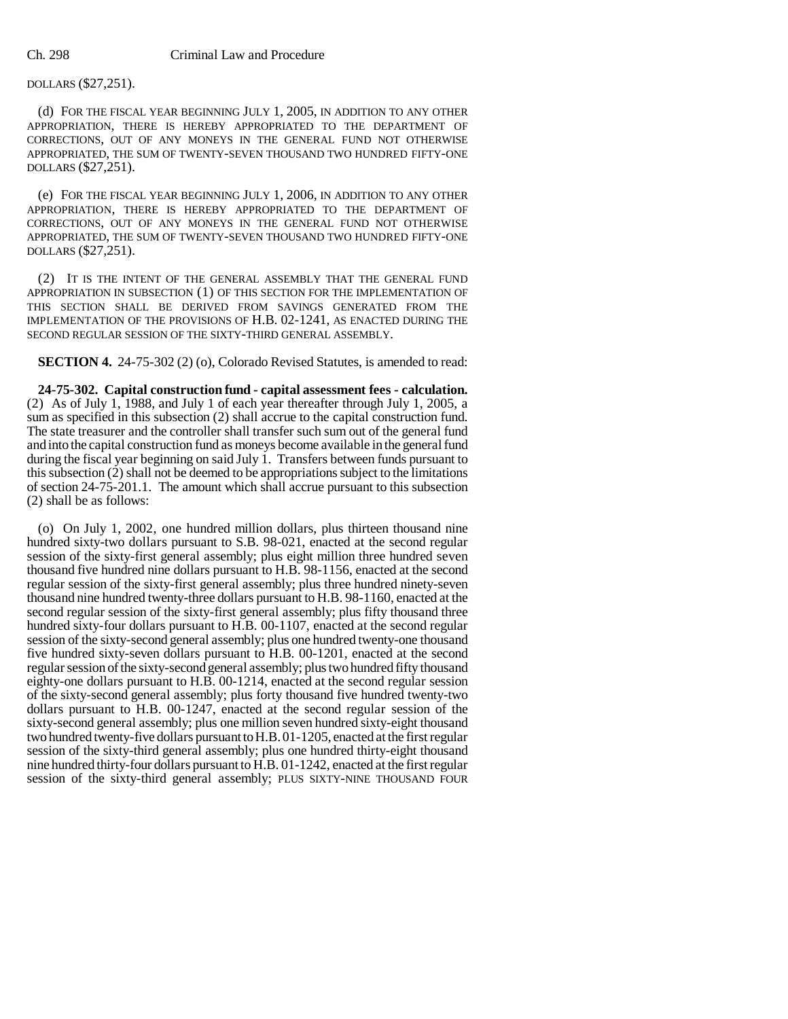## DOLLARS (\$27,251).

(d) FOR THE FISCAL YEAR BEGINNING JULY 1, 2005, IN ADDITION TO ANY OTHER APPROPRIATION, THERE IS HEREBY APPROPRIATED TO THE DEPARTMENT OF CORRECTIONS, OUT OF ANY MONEYS IN THE GENERAL FUND NOT OTHERWISE APPROPRIATED, THE SUM OF TWENTY-SEVEN THOUSAND TWO HUNDRED FIFTY-ONE DOLLARS (\$27,251).

(e) FOR THE FISCAL YEAR BEGINNING JULY 1, 2006, IN ADDITION TO ANY OTHER APPROPRIATION, THERE IS HEREBY APPROPRIATED TO THE DEPARTMENT OF CORRECTIONS, OUT OF ANY MONEYS IN THE GENERAL FUND NOT OTHERWISE APPROPRIATED, THE SUM OF TWENTY-SEVEN THOUSAND TWO HUNDRED FIFTY-ONE DOLLARS (\$27,251).

(2) IT IS THE INTENT OF THE GENERAL ASSEMBLY THAT THE GENERAL FUND APPROPRIATION IN SUBSECTION (1) OF THIS SECTION FOR THE IMPLEMENTATION OF THIS SECTION SHALL BE DERIVED FROM SAVINGS GENERATED FROM THE IMPLEMENTATION OF THE PROVISIONS OF H.B. 02-1241, AS ENACTED DURING THE SECOND REGULAR SESSION OF THE SIXTY-THIRD GENERAL ASSEMBLY.

**SECTION 4.** 24-75-302 (2) (o), Colorado Revised Statutes, is amended to read:

**24-75-302. Capital construction fund - capital assessment fees - calculation.** (2) As of July 1, 1988, and July 1 of each year thereafter through July 1, 2005, a sum as specified in this subsection (2) shall accrue to the capital construction fund. The state treasurer and the controller shall transfer such sum out of the general fund and into the capital construction fund as moneys become available in the general fund during the fiscal year beginning on said July 1. Transfers between funds pursuant to this subsection (2) shall not be deemed to be appropriations subject to the limitations of section 24-75-201.1. The amount which shall accrue pursuant to this subsection (2) shall be as follows:

(o) On July 1, 2002, one hundred million dollars, plus thirteen thousand nine hundred sixty-two dollars pursuant to S.B. 98-021, enacted at the second regular session of the sixty-first general assembly; plus eight million three hundred seven thousand five hundred nine dollars pursuant to H.B. 98-1156, enacted at the second regular session of the sixty-first general assembly; plus three hundred ninety-seven thousand nine hundred twenty-three dollars pursuant to H.B. 98-1160, enacted at the second regular session of the sixty-first general assembly; plus fifty thousand three hundred sixty-four dollars pursuant to H.B. 00-1107, enacted at the second regular session of the sixty-second general assembly; plus one hundred twenty-one thousand five hundred sixty-seven dollars pursuant to H.B. 00-1201, enacted at the second regular session of the sixty-second general assembly; plus two hundred fifty thousand eighty-one dollars pursuant to H.B. 00-1214, enacted at the second regular session of the sixty-second general assembly; plus forty thousand five hundred twenty-two dollars pursuant to H.B. 00-1247, enacted at the second regular session of the sixty-second general assembly; plus one million seven hundred sixty-eight thousand two hundred twenty-five dollars pursuant to H.B. 01-1205, enacted at the first regular session of the sixty-third general assembly; plus one hundred thirty-eight thousand nine hundred thirty-four dollars pursuant to H.B. 01-1242, enacted at the first regular session of the sixty-third general assembly; PLUS SIXTY-NINE THOUSAND FOUR